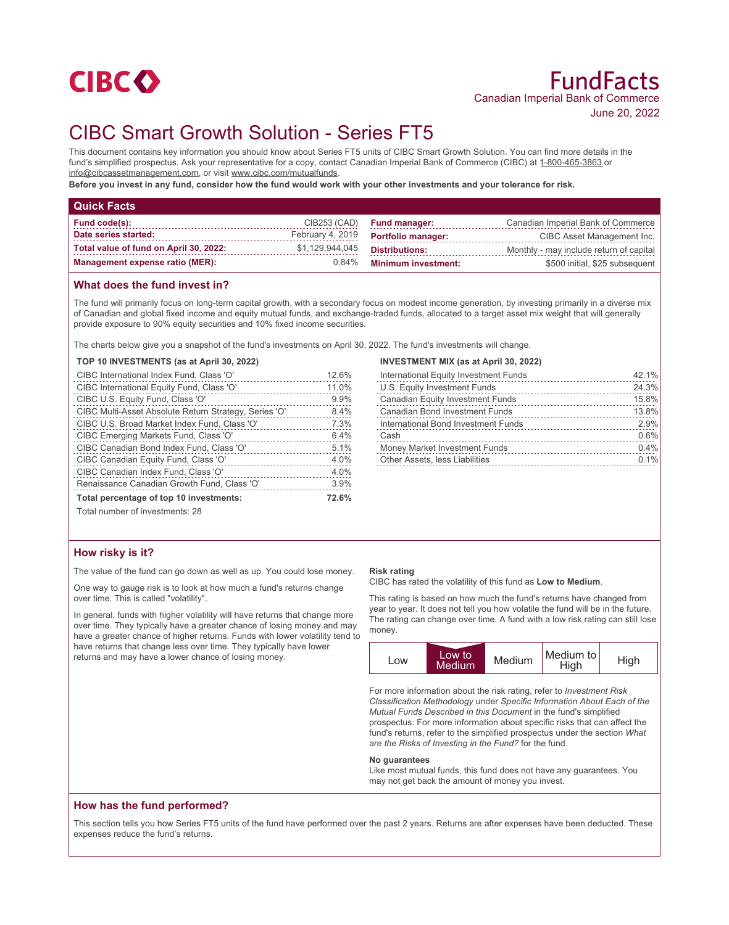

# CIBC Smart Growth Solution - Series FT5

This document contains key information you should know about Series FT5 units of CIBC Smart Growth Solution. You can find more details in the fund's simplified prospectus. Ask your representative for a copy, contact Canadian Imperial Bank of Commerce (CIBC) at 1-800-465-3863 or info@cibcassetmanagement.com, or visit www.cibc.com/mutualfunds.

**Before you invest in any fund, consider how the fund would work with your other investments and your tolerance for risk.**

| <b>Quick Facts</b>                     |                  |                            |                                         |
|----------------------------------------|------------------|----------------------------|-----------------------------------------|
| <b>Fund code(s):</b>                   | CIB253 (CAD)     | <b>Fund manager:</b>       | Canadian Imperial Bank of Commerce      |
| Date series started:                   | February 4, 2019 | <b>Portfolio manager:</b>  | CIBC Asset Management Inc.              |
| Total value of fund on April 30, 2022: | \$1,129,944,045  | <b>Distributions:</b>      | Monthly - may include return of capital |
| <b>Management expense ratio (MER):</b> | 0.84%            | <b>Minimum investment:</b> | \$500 initial, \$25 subsequent          |

## **What does the fund invest in?**

The fund will primarily focus on long-term capital growth, with a secondary focus on modest income generation, by investing primarily in a diverse mix of Canadian and global fixed income and equity mutual funds, and exchange-traded funds, allocated to a target asset mix weight that will generally provide exposure to 90% equity securities and 10% fixed income securities.

The charts below give you a snapshot of the fund's investments on April 30, 2022. The fund's investments will change.

#### **TOP 10 INVESTMENTS (as at April 30, 2022)**

| CIBC International Index Fund, Class 'O'              | 12.6% |
|-------------------------------------------------------|-------|
| CIBC International Equity Fund, Class 'O'             | 11.0% |
| CIBC U.S. Equity Fund, Class 'O'                      | 9.9%  |
| CIBC Multi-Asset Absolute Return Strategy, Series 'O' | 8.4%  |
| CIBC U.S. Broad Market Index Fund, Class 'O'          | 7.3%  |
| CIBC Emerging Markets Fund, Class 'O'                 | 6.4%  |
| CIBC Canadian Bond Index Fund, Class 'O'              | 5.1%  |
| CIBC Canadian Equity Fund, Class 'O'                  | 4.0%  |
| CIBC Canadian Index Fund, Class 'O'                   | 4.0%  |
| Renaissance Canadian Growth Fund, Class 'O'           | 3.9%  |
| Total percentage of top 10 investments:               | 72.6% |
| Total number of investments: 28                       |       |

## **INVESTMENT MIX (as at April 30, 2022)**

| International Equity Investment Funds   | 42.1% |
|-----------------------------------------|-------|
| U.S. Equity Investment Funds            | 24.3% |
| <b>Canadian Equity Investment Funds</b> | 15.8% |
| <b>Canadian Bond Investment Funds</b>   | 13.8% |
| International Bond Investment Funds     | 2.9%  |
| Cash                                    | 0.6%  |
| Money Market Investment Funds           | 0.4%  |
| <b>Other Assets, less Liabilities</b>   | 0.1%  |
|                                         |       |

# **How risky is it?**

The value of the fund can go down as well as up. You could lose money.

One way to gauge risk is to look at how much a fund's returns change over time. This is called "volatility".

In general, funds with higher volatility will have returns that change more over time. They typically have a greater chance of losing money and may have a greater chance of higher returns. Funds with lower volatility tend to have returns that change less over time. They typically have lower returns and may have a lower chance of losing money.

#### **Risk rating**

CIBC has rated the volatility of this fund as **Low to Medium**.

This rating is based on how much the fund's returns have changed from year to year. It does not tell you how volatile the fund will be in the future. The rating can change over time. A fund with a low risk rating can still lose money.



For more information about the risk rating, refer to *Investment Risk Classification Methodology* under *Specific Information About Each of the Mutual Funds Described in this Document* in the fund's simplified prospectus. For more information about specific risks that can affect the fund's returns, refer to the simplified prospectus under the section *What are the Risks of Investing in the Fund?* for the fund.

#### **No guarantees**

Like most mutual funds, this fund does not have any guarantees. You may not get back the amount of money you invest.

## **How has the fund performed?**

This section tells you how Series FT5 units of the fund have performed over the past 2 years. Returns are after expenses have been deducted. These expenses reduce the fund's returns.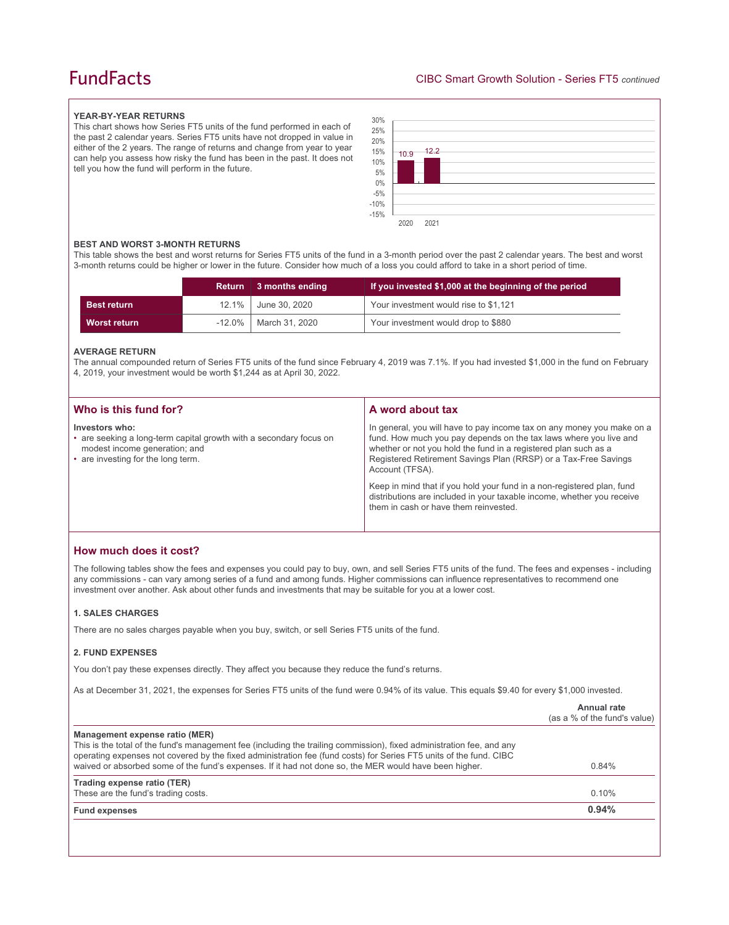# **FundFacts**

#### **YEAR-BY-YEAR RETURNS**

This chart shows how Series FT5 units of the fund performed in each of the past 2 calendar years. Series FT5 units have not dropped in value in either of the 2 years. The range of returns and change from year to year can help you assess how risky the fund has been in the past. It does not tell you how the fund will perform in the future.



#### **BEST AND WORST 3-MONTH RETURNS**

This table shows the best and worst returns for Series FT5 units of the fund in a 3-month period over the past 2 calendar years. The best and worst 3-month returns could be higher or lower in the future. Consider how much of a loss you could afford to take in a short period of time.

|                    | Return 3 months ending  | If you invested \$1,000 at the beginning of the period |
|--------------------|-------------------------|--------------------------------------------------------|
| <b>Best return</b> | 12.1%   June 30, 2020   | Your investment would rise to \$1,121                  |
| Worst return       | -12.0%   March 31, 2020 | Your investment would drop to \$880                    |

#### **AVERAGE RETURN**

The annual compounded return of Series FT5 units of the fund since February 4, 2019 was 7.1%. If you had invested \$1,000 in the fund on February 4, 2019, your investment would be worth \$1,244 as at April 30, 2022.

| Who is this fund for?                                                                                                                                       | A word about tax                                                                                                                                                                                                                                                                                                                                                                                                                                                                                  |
|-------------------------------------------------------------------------------------------------------------------------------------------------------------|---------------------------------------------------------------------------------------------------------------------------------------------------------------------------------------------------------------------------------------------------------------------------------------------------------------------------------------------------------------------------------------------------------------------------------------------------------------------------------------------------|
| Investors who:<br>• are seeking a long-term capital growth with a secondary focus on<br>modest income generation; and<br>• are investing for the long term. | In general, you will have to pay income tax on any money you make on a<br>fund. How much you pay depends on the tax laws where you live and<br>whether or not you hold the fund in a registered plan such as a<br>Registered Retirement Savings Plan (RRSP) or a Tax-Free Savings<br>Account (TFSA).<br>Keep in mind that if you hold your fund in a non-registered plan, fund<br>distributions are included in your taxable income, whether you receive<br>them in cash or have them reinvested. |
|                                                                                                                                                             |                                                                                                                                                                                                                                                                                                                                                                                                                                                                                                   |

# **How much does it cost?**

The following tables show the fees and expenses you could pay to buy, own, and sell Series FT5 units of the fund. The fees and expenses - including any commissions - can vary among series of a fund and among funds. Higher commissions can influence representatives to recommend one investment over another. Ask about other funds and investments that may be suitable for you at a lower cost.

#### **1. SALES CHARGES**

There are no sales charges payable when you buy, switch, or sell Series FT5 units of the fund.

#### **2. FUND EXPENSES**

You don't pay these expenses directly. They affect you because they reduce the fund's returns.

As at December 31, 2021, the expenses for Series FT5 units of the fund were 0.94% of its value. This equals \$9.40 for every \$1,000 invested.

|                                                                                                                                                                                                                                                                                                                                                                                         | Annual rate<br>(as a % of the fund's value) |
|-----------------------------------------------------------------------------------------------------------------------------------------------------------------------------------------------------------------------------------------------------------------------------------------------------------------------------------------------------------------------------------------|---------------------------------------------|
| Management expense ratio (MER)<br>This is the total of the fund's management fee (including the trailing commission), fixed administration fee, and any<br>operating expenses not covered by the fixed administration fee (fund costs) for Series FT5 units of the fund. CIBC<br>waived or absorbed some of the fund's expenses. If it had not done so, the MER would have been higher. | 0.84%                                       |
| Trading expense ratio (TER)<br>These are the fund's trading costs.                                                                                                                                                                                                                                                                                                                      | 0.10%                                       |
| <b>Fund expenses</b>                                                                                                                                                                                                                                                                                                                                                                    | 0.94%                                       |
|                                                                                                                                                                                                                                                                                                                                                                                         |                                             |